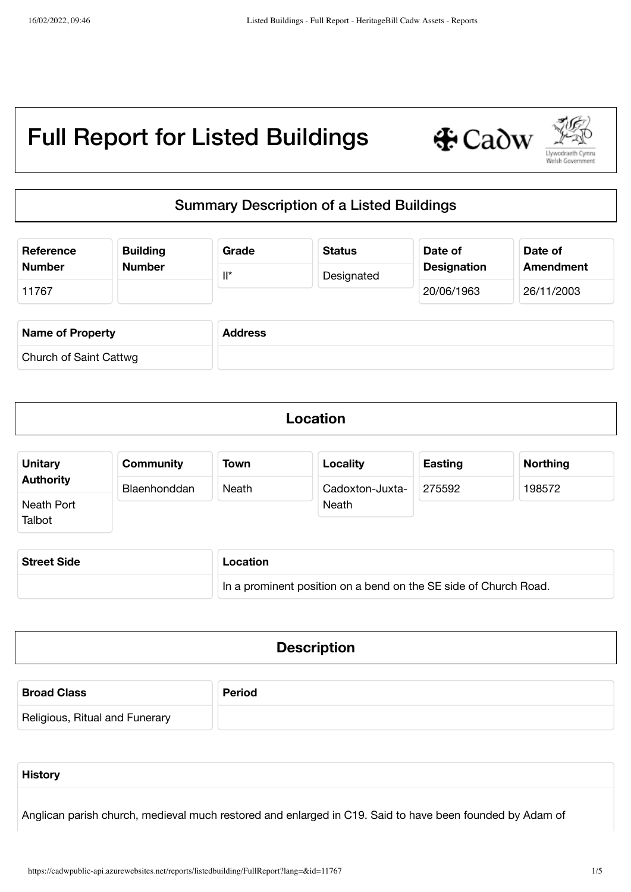

## Summary Description of a Listed Buildings

| Reference               | <b>Building</b> | Grade          | <b>Status</b> | Date of            | Date of          |
|-------------------------|-----------------|----------------|---------------|--------------------|------------------|
| <b>Number</b>           | <b>Number</b>   | $\mathbb{I}^*$ | Designated    | <b>Designation</b> | <b>Amendment</b> |
| 11767                   |                 |                |               | 20/06/1963         | 26/11/2003       |
| <b>Name of Property</b> |                 | <b>Address</b> |               |                    |                  |
| Church of Saint Cattwg  |                 |                |               |                    |                  |

| Location |  |
|----------|--|
|          |  |

| <b>Unitary</b>   | <b>Community</b> | Town  | Locality        | <b>Easting</b> | <b>Northing</b> |
|------------------|------------------|-------|-----------------|----------------|-----------------|
| <b>Authority</b> | Blaenhonddan     | Neath | Cadoxton-Juxta- | 275592         | 198572          |
| Neath Port       |                  |       | Neath           |                |                 |
| Talbot           |                  |       |                 |                |                 |

| <b>Street Side</b> | Location                                                         |  |  |
|--------------------|------------------------------------------------------------------|--|--|
|                    | In a prominent position on a bend on the SE side of Church Road. |  |  |

| <b>Broad Class</b>             | <b>Period</b> |
|--------------------------------|---------------|
| Religious, Ritual and Funerary |               |

| <b>History</b> |  |  |  |
|----------------|--|--|--|
|                |  |  |  |

Anglican parish church, medieval much restored and enlarged in C19. Said to have been founded by Adam of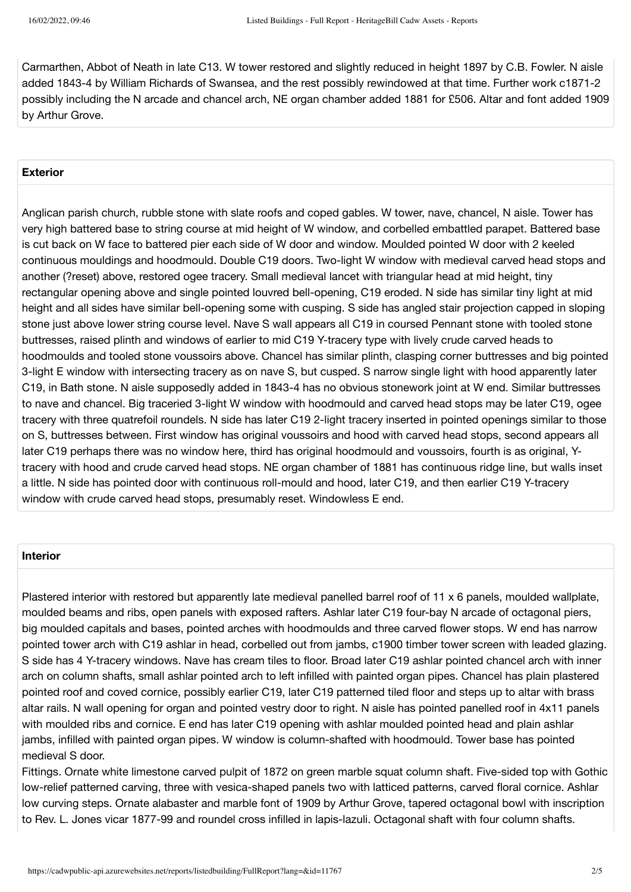Carmarthen, Abbot of Neath in late C13. W tower restored and slightly reduced in height 1897 by C.B. Fowler. N aisle added 1843-4 by William Richards of Swansea, and the rest possibly rewindowed at that time. Further work c1871-2 possibly including the N arcade and chancel arch, NE organ chamber added 1881 for £506. Altar and font added 1909 by Arthur Grove.

### **Exterior**

Anglican parish church, rubble stone with slate roofs and coped gables. W tower, nave, chancel, N aisle. Tower has very high battered base to string course at mid height of W window, and corbelled embattled parapet. Battered base is cut back on W face to battered pier each side of W door and window. Moulded pointed W door with 2 keeled continuous mouldings and hoodmould. Double C19 doors. Two-light W window with medieval carved head stops and another (?reset) above, restored ogee tracery. Small medieval lancet with triangular head at mid height, tiny rectangular opening above and single pointed louvred bell-opening, C19 eroded. N side has similar tiny light at mid height and all sides have similar bell-opening some with cusping. S side has angled stair projection capped in sloping stone just above lower string course level. Nave S wall appears all C19 in coursed Pennant stone with tooled stone buttresses, raised plinth and windows of earlier to mid C19 Y-tracery type with lively crude carved heads to hoodmoulds and tooled stone voussoirs above. Chancel has similar plinth, clasping corner buttresses and big pointed 3-light E window with intersecting tracery as on nave S, but cusped. S narrow single light with hood apparently later C19, in Bath stone. N aisle supposedly added in 1843-4 has no obvious stonework joint at W end. Similar buttresses to nave and chancel. Big traceried 3-light W window with hoodmould and carved head stops may be later C19, ogee tracery with three quatrefoil roundels. N side has later C19 2-light tracery inserted in pointed openings similar to those on S, buttresses between. First window has original voussoirs and hood with carved head stops, second appears all later C19 perhaps there was no window here, third has original hoodmould and voussoirs, fourth is as original, Ytracery with hood and crude carved head stops. NE organ chamber of 1881 has continuous ridge line, but walls inset a little. N side has pointed door with continuous roll-mould and hood, later C19, and then earlier C19 Y-tracery window with crude carved head stops, presumably reset. Windowless E end.

#### **Interior**

Plastered interior with restored but apparently late medieval panelled barrel roof of 11 x 6 panels, moulded wallplate, moulded beams and ribs, open panels with exposed rafters. Ashlar later C19 four-bay N arcade of octagonal piers, big moulded capitals and bases, pointed arches with hoodmoulds and three carved flower stops. W end has narrow pointed tower arch with C19 ashlar in head, corbelled out from jambs, c1900 timber tower screen with leaded glazing. S side has 4 Y-tracery windows. Nave has cream tiles to floor. Broad later C19 ashlar pointed chancel arch with inner arch on column shafts, small ashlar pointed arch to left infilled with painted organ pipes. Chancel has plain plastered pointed roof and coved cornice, possibly earlier C19, later C19 patterned tiled floor and steps up to altar with brass altar rails. N wall opening for organ and pointed vestry door to right. N aisle has pointed panelled roof in 4x11 panels with moulded ribs and cornice. E end has later C19 opening with ashlar moulded pointed head and plain ashlar jambs, infilled with painted organ pipes. W window is column-shafted with hoodmould. Tower base has pointed medieval S door.

Fittings. Ornate white limestone carved pulpit of 1872 on green marble squat column shaft. Five-sided top with Gothic low-relief patterned carving, three with vesica-shaped panels two with latticed patterns, carved floral cornice. Ashlar low curving steps. Ornate alabaster and marble font of 1909 by Arthur Grove, tapered octagonal bowl with inscription to Rev. L. Jones vicar 1877-99 and roundel cross infilled in lapis-lazuli. Octagonal shaft with four column shafts.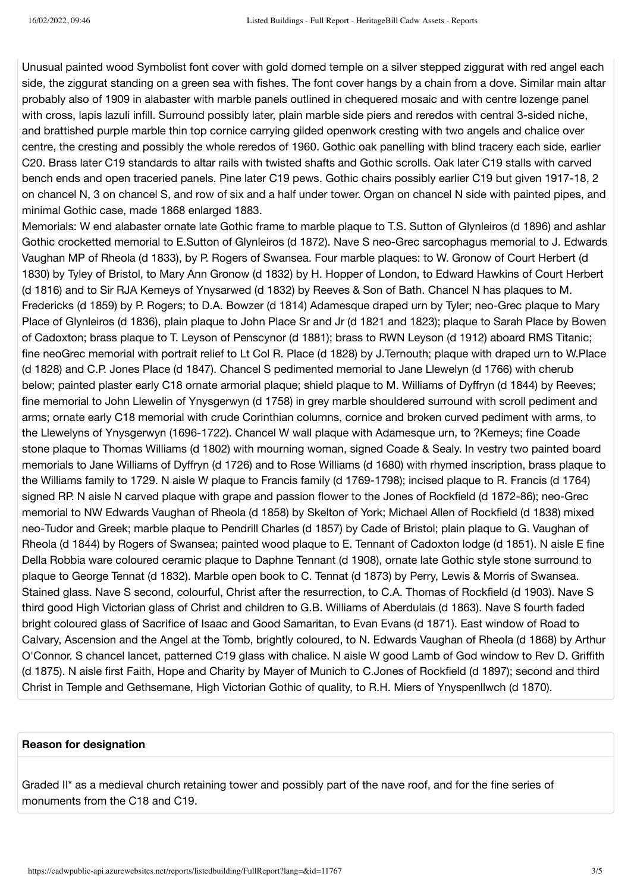Unusual painted wood Symbolist font cover with gold domed temple on a silver stepped ziggurat with red angel each side, the ziggurat standing on a green sea with fishes. The font cover hangs by a chain from a dove. Similar main altar probably also of 1909 in alabaster with marble panels outlined in chequered mosaic and with centre lozenge panel with cross, lapis lazuli infill. Surround possibly later, plain marble side piers and reredos with central 3-sided niche, and brattished purple marble thin top cornice carrying gilded openwork cresting with two angels and chalice over centre, the cresting and possibly the whole reredos of 1960. Gothic oak panelling with blind tracery each side, earlier C20. Brass later C19 standards to altar rails with twisted shafts and Gothic scrolls. Oak later C19 stalls with carved bench ends and open traceried panels. Pine later C19 pews. Gothic chairs possibly earlier C19 but given 1917-18, 2 on chancel N, 3 on chancel S, and row of six and a half under tower. Organ on chancel N side with painted pipes, and minimal Gothic case, made 1868 enlarged 1883.

Memorials: W end alabaster ornate late Gothic frame to marble plaque to T.S. Sutton of Glynleiros (d 1896) and ashlar Gothic crocketted memorial to E.Sutton of Glynleiros (d 1872). Nave S neo-Grec sarcophagus memorial to J. Edwards Vaughan MP of Rheola (d 1833), by P. Rogers of Swansea. Four marble plaques: to W. Gronow of Court Herbert (d 1830) by Tyley of Bristol, to Mary Ann Gronow (d 1832) by H. Hopper of London, to Edward Hawkins of Court Herbert (d 1816) and to Sir RJA Kemeys of Ynysarwed (d 1832) by Reeves & Son of Bath. Chancel N has plaques to M. Fredericks (d 1859) by P. Rogers; to D.A. Bowzer (d 1814) Adamesque draped urn by Tyler; neo-Grec plaque to Mary Place of Glynleiros (d 1836), plain plaque to John Place Sr and Jr (d 1821 and 1823); plaque to Sarah Place by Bowen of Cadoxton; brass plaque to T. Leyson of Penscynor (d 1881); brass to RWN Leyson (d 1912) aboard RMS Titanic; fine neoGrec memorial with portrait relief to Lt Col R. Place (d 1828) by J.Ternouth; plaque with draped urn to W.Place (d 1828) and C.P. Jones Place (d 1847). Chancel S pedimented memorial to Jane Llewelyn (d 1766) with cherub below; painted plaster early C18 ornate armorial plaque; shield plaque to M. Williams of Dyffryn (d 1844) by Reeves; fine memorial to John Llewelin of Ynysgerwyn (d 1758) in grey marble shouldered surround with scroll pediment and arms; ornate early C18 memorial with crude Corinthian columns, cornice and broken curved pediment with arms, to the Llewelyns of Ynysgerwyn (1696-1722). Chancel W wall plaque with Adamesque urn, to ?Kemeys; fine Coade stone plaque to Thomas Williams (d 1802) with mourning woman, signed Coade & Sealy. In vestry two painted board memorials to Jane Williams of Dyffryn (d 1726) and to Rose Williams (d 1680) with rhymed inscription, brass plaque to the Williams family to 1729. N aisle W plaque to Francis family (d 1769-1798); incised plaque to R. Francis (d 1764) signed RP. N aisle N carved plaque with grape and passion flower to the Jones of Rockfield (d 1872-86); neo-Grec memorial to NW Edwards Vaughan of Rheola (d 1858) by Skelton of York; Michael Allen of Rockfield (d 1838) mixed neo-Tudor and Greek; marble plaque to Pendrill Charles (d 1857) by Cade of Bristol; plain plaque to G. Vaughan of Rheola (d 1844) by Rogers of Swansea; painted wood plaque to E. Tennant of Cadoxton lodge (d 1851). N aisle E fine Della Robbia ware coloured ceramic plaque to Daphne Tennant (d 1908), ornate late Gothic style stone surround to plaque to George Tennat (d 1832). Marble open book to C. Tennat (d 1873) by Perry, Lewis & Morris of Swansea. Stained glass. Nave S second, colourful, Christ after the resurrection, to C.A. Thomas of Rockfield (d 1903). Nave S third good High Victorian glass of Christ and children to G.B. Williams of Aberdulais (d 1863). Nave S fourth faded bright coloured glass of Sacrifice of Isaac and Good Samaritan, to Evan Evans (d 1871). East window of Road to Calvary, Ascension and the Angel at the Tomb, brightly coloured, to N. Edwards Vaughan of Rheola (d 1868) by Arthur O'Connor. S chancel lancet, patterned C19 glass with chalice. N aisle W good Lamb of God window to Rev D. Griffith (d 1875). N aisle first Faith, Hope and Charity by Mayer of Munich to C.Jones of Rockfield (d 1897); second and third Christ in Temple and Gethsemane, High Victorian Gothic of quality, to R.H. Miers of Ynyspenllwch (d 1870).

#### **Reason for designation**

Graded II\* as a medieval church retaining tower and possibly part of the nave roof, and for the fine series of monuments from the C18 and C19.